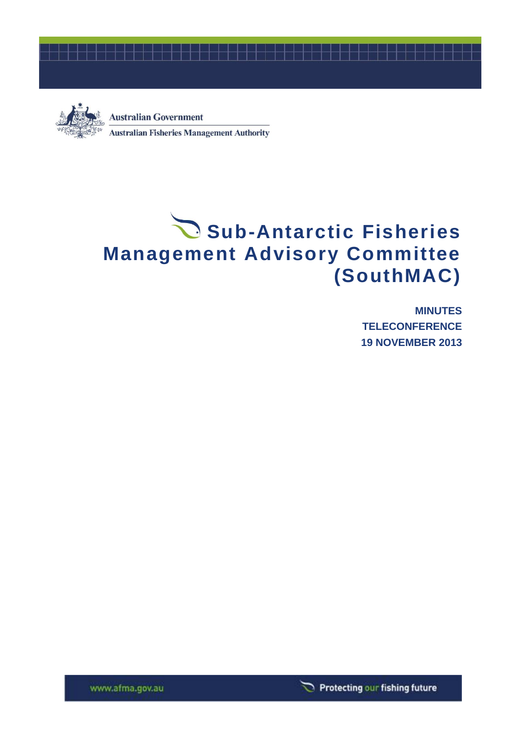



**Australian Government Australian Fisheries Management Authority** 

# Sub-Antarctic Fisheries **Management Advisory Committee (SouthMAC)**

**MINUTES TELECONFERENCE 19 NOVEMBER 2013**



www.afma.gov.au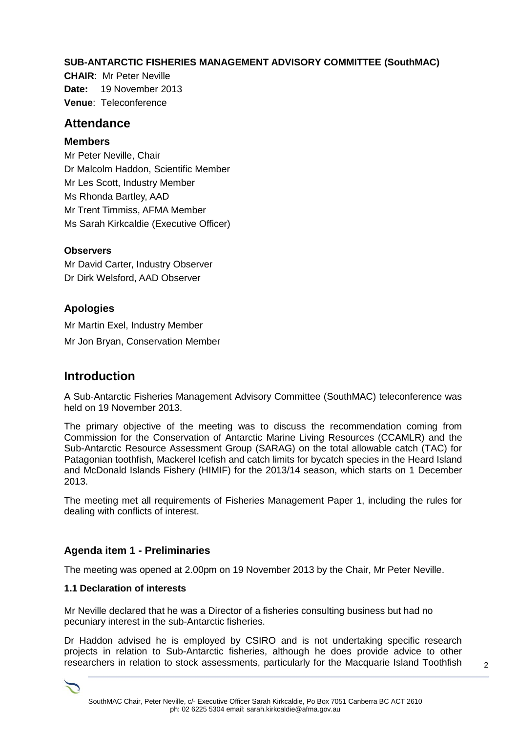# **SUB-ANTARCTIC FISHERIES MANAGEMENT ADVISORY COMMITTEE (SouthMAC)**

**CHAIR**: Mr Peter Neville **Date:** 19 November 2013 **Venue**: Teleconference

# **Attendance**

## **Members**

Mr Peter Neville, Chair Dr Malcolm Haddon, Scientific Member Mr Les Scott, Industry Member Ms Rhonda Bartley, AAD Mr Trent Timmiss, AFMA Member Ms Sarah Kirkcaldie (Executive Officer)

## **Observers**

Mr David Carter, Industry Observer Dr Dirk Welsford, AAD Observer

# **Apologies**

Mr Martin Exel, Industry Member Mr Jon Bryan, Conservation Member

# **Introduction**

A Sub-Antarctic Fisheries Management Advisory Committee (SouthMAC) teleconference was held on 19 November 2013.

The primary objective of the meeting was to discuss the recommendation coming from Commission for the Conservation of Antarctic Marine Living Resources (CCAMLR) and the Sub-Antarctic Resource Assessment Group (SARAG) on the total allowable catch (TAC) for Patagonian toothfish, Mackerel Icefish and catch limits for bycatch species in the Heard Island and McDonald Islands Fishery (HIMIF) for the 2013/14 season, which starts on 1 December 2013.

The meeting met all requirements of Fisheries Management Paper 1, including the rules for dealing with conflicts of interest.

# **Agenda item 1 - Preliminaries**

The meeting was opened at 2.00pm on 19 November 2013 by the Chair, Mr Peter Neville.

#### **1.1 Declaration of interests**

Mr Neville declared that he was a Director of a fisheries consulting business but had no pecuniary interest in the sub-Antarctic fisheries.

Dr Haddon advised he is employed by CSIRO and is not undertaking specific research projects in relation to Sub-Antarctic fisheries, although he does provide advice to other researchers in relation to stock assessments, particularly for the Macquarie Island Toothfish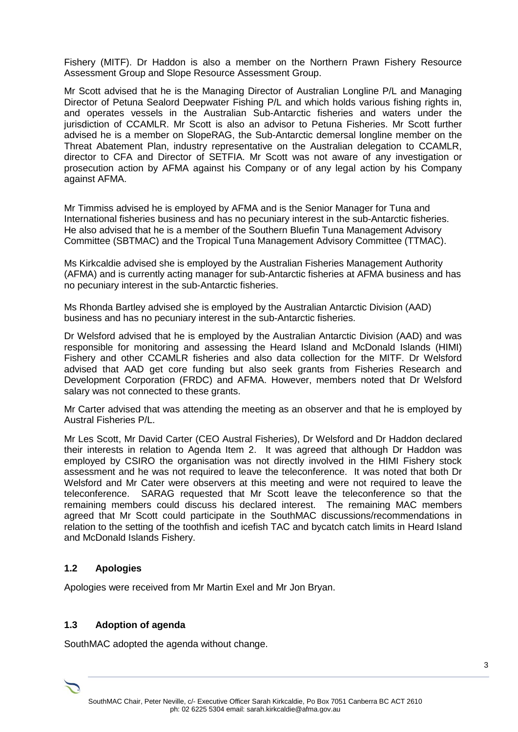Fishery (MITF). Dr Haddon is also a member on the Northern Prawn Fishery Resource Assessment Group and Slope Resource Assessment Group.

Mr Scott advised that he is the Managing Director of Australian Longline P/L and Managing Director of Petuna Sealord Deepwater Fishing P/L and which holds various fishing rights in, and operates vessels in the Australian Sub-Antarctic fisheries and waters under the jurisdiction of CCAMLR. Mr Scott is also an advisor to Petuna Fisheries. Mr Scott further advised he is a member on SlopeRAG, the Sub-Antarctic demersal longline member on the Threat Abatement Plan, industry representative on the Australian delegation to CCAMLR, director to CFA and Director of SETFIA. Mr Scott was not aware of any investigation or prosecution action by AFMA against his Company or of any legal action by his Company against AFMA.

Mr Timmiss advised he is employed by AFMA and is the Senior Manager for Tuna and International fisheries business and has no pecuniary interest in the sub-Antarctic fisheries. He also advised that he is a member of the Southern Bluefin Tuna Management Advisory Committee (SBTMAC) and the Tropical Tuna Management Advisory Committee (TTMAC).

Ms Kirkcaldie advised she is employed by the Australian Fisheries Management Authority (AFMA) and is currently acting manager for sub-Antarctic fisheries at AFMA business and has no pecuniary interest in the sub-Antarctic fisheries.

Ms Rhonda Bartley advised she is employed by the Australian Antarctic Division (AAD) business and has no pecuniary interest in the sub-Antarctic fisheries.

Dr Welsford advised that he is employed by the Australian Antarctic Division (AAD) and was responsible for monitoring and assessing the Heard Island and McDonald Islands (HIMI) Fishery and other CCAMLR fisheries and also data collection for the MITF. Dr Welsford advised that AAD get core funding but also seek grants from Fisheries Research and Development Corporation (FRDC) and AFMA. However, members noted that Dr Welsford salary was not connected to these grants.

Mr Carter advised that was attending the meeting as an observer and that he is employed by Austral Fisheries P/L.

Mr Les Scott, Mr David Carter (CEO Austral Fisheries), Dr Welsford and Dr Haddon declared their interests in relation to Agenda Item 2. It was agreed that although Dr Haddon was employed by CSIRO the organisation was not directly involved in the HIMI Fishery stock assessment and he was not required to leave the teleconference. It was noted that both Dr Welsford and Mr Cater were observers at this meeting and were not required to leave the teleconference. SARAG requested that Mr Scott leave the teleconference so that the remaining members could discuss his declared interest. The remaining MAC members agreed that Mr Scott could participate in the SouthMAC discussions/recommendations in relation to the setting of the toothfish and icefish TAC and bycatch catch limits in Heard Island and McDonald Islands Fishery.

#### **1.2 Apologies**

Apologies were received from Mr Martin Exel and Mr Jon Bryan.

#### **1.3 Adoption of agenda**

SouthMAC adopted the agenda without change.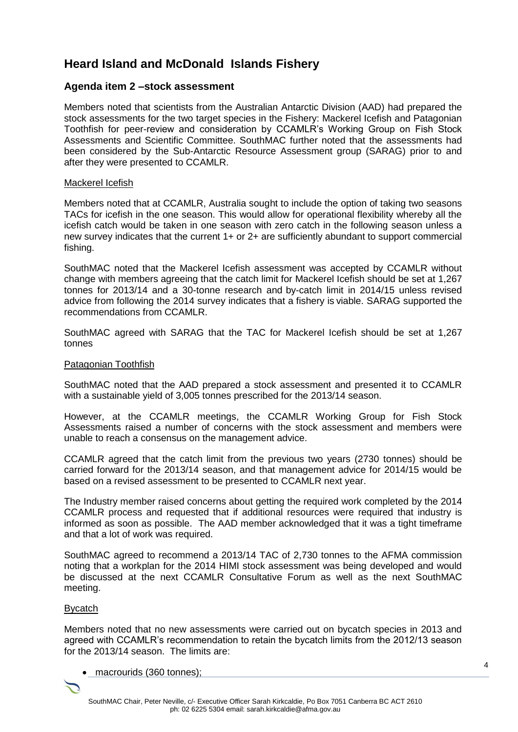# **Heard Island and McDonald Islands Fishery**

## **Agenda item 2 –stock assessment**

Members noted that scientists from the Australian Antarctic Division (AAD) had prepared the stock assessments for the two target species in the Fishery: Mackerel Icefish and Patagonian Toothfish for peer-review and consideration by CCAMLR's Working Group on Fish Stock Assessments and Scientific Committee. SouthMAC further noted that the assessments had been considered by the Sub-Antarctic Resource Assessment group (SARAG) prior to and after they were presented to CCAMLR.

#### Mackerel Icefish

Members noted that at CCAMLR, Australia sought to include the option of taking two seasons TACs for icefish in the one season. This would allow for operational flexibility whereby all the icefish catch would be taken in one season with zero catch in the following season unless a new survey indicates that the current 1+ or 2+ are sufficiently abundant to support commercial fishing.

SouthMAC noted that the Mackerel Icefish assessment was accepted by CCAMLR without change with members agreeing that the catch limit for Mackerel Icefish should be set at 1,267 tonnes for 2013/14 and a 30-tonne research and by-catch limit in 2014/15 unless revised advice from following the 2014 survey indicates that a fishery is viable. SARAG supported the recommendations from CCAMLR.

SouthMAC agreed with SARAG that the TAC for Mackerel Icefish should be set at 1,267 tonnes

#### Patagonian Toothfish

SouthMAC noted that the AAD prepared a stock assessment and presented it to CCAMLR with a sustainable yield of 3,005 tonnes prescribed for the 2013/14 season.

However, at the CCAMLR meetings, the CCAMLR Working Group for Fish Stock Assessments raised a number of concerns with the stock assessment and members were unable to reach a consensus on the management advice.

CCAMLR agreed that the catch limit from the previous two years (2730 tonnes) should be carried forward for the 2013/14 season, and that management advice for 2014/15 would be based on a revised assessment to be presented to CCAMLR next year.

The Industry member raised concerns about getting the required work completed by the 2014 CCAMLR process and requested that if additional resources were required that industry is informed as soon as possible. The AAD member acknowledged that it was a tight timeframe and that a lot of work was required.

SouthMAC agreed to recommend a 2013/14 TAC of 2,730 tonnes to the AFMA commission noting that a workplan for the 2014 HIMI stock assessment was being developed and would be discussed at the next CCAMLR Consultative Forum as well as the next SouthMAC meeting.

#### Bycatch

Members noted that no new assessments were carried out on bycatch species in 2013 and agreed with CCAMLR's recommendation to retain the bycatch limits from the 2012/13 season for the 2013/14 season. The limits are:

macrourids (360 tonnes);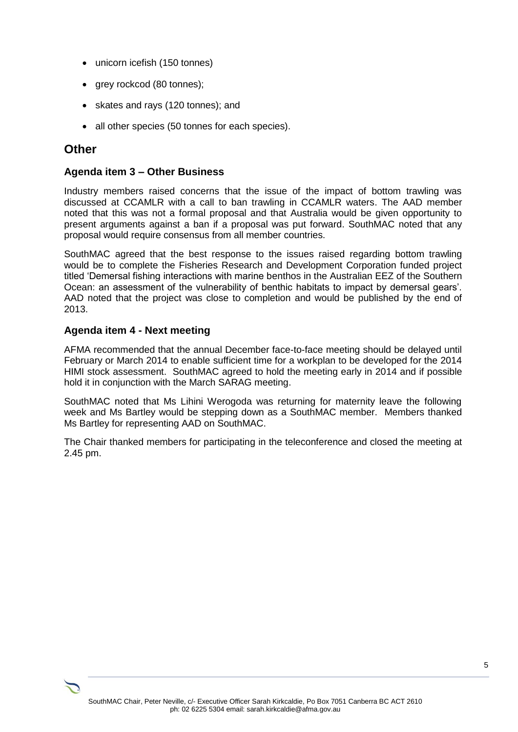- unicorn icefish (150 tonnes)
- grey rockcod (80 tonnes);
- skates and rays (120 tonnes); and
- all other species (50 tonnes for each species).

# **Other**

# **Agenda item 3 – Other Business**

Industry members raised concerns that the issue of the impact of bottom trawling was discussed at CCAMLR with a call to ban trawling in CCAMLR waters. The AAD member noted that this was not a formal proposal and that Australia would be given opportunity to present arguments against a ban if a proposal was put forward. SouthMAC noted that any proposal would require consensus from all member countries.

SouthMAC agreed that the best response to the issues raised regarding bottom trawling would be to complete the Fisheries Research and Development Corporation funded project titled 'Demersal fishing interactions with marine benthos in the Australian EEZ of the Southern Ocean: an assessment of the vulnerability of benthic habitats to impact by demersal gears'. AAD noted that the project was close to completion and would be published by the end of 2013.

# **Agenda item 4 - Next meeting**

AFMA recommended that the annual December face-to-face meeting should be delayed until February or March 2014 to enable sufficient time for a workplan to be developed for the 2014 HIMI stock assessment. SouthMAC agreed to hold the meeting early in 2014 and if possible hold it in conjunction with the March SARAG meeting.

SouthMAC noted that Ms Lihini Werogoda was returning for maternity leave the following week and Ms Bartley would be stepping down as a SouthMAC member. Members thanked Ms Bartley for representing AAD on SouthMAC.

The Chair thanked members for participating in the teleconference and closed the meeting at 2.45 pm.